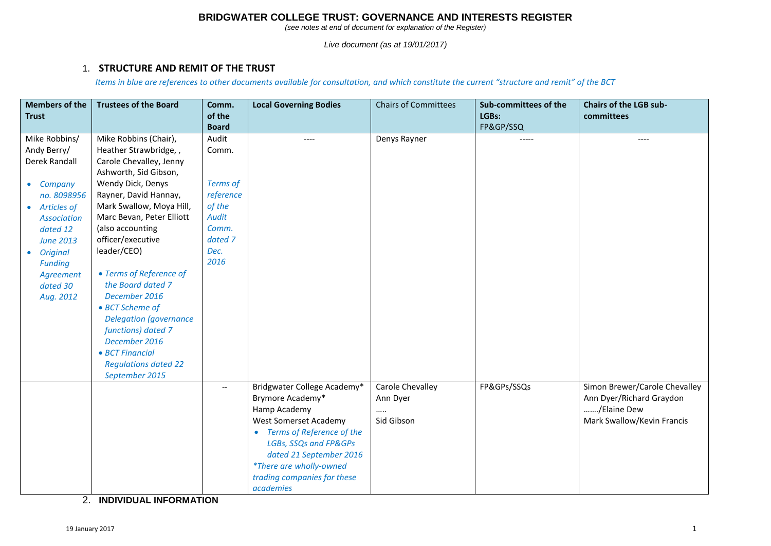*(see notes at end of document for explanation of the Register)*

*Live document (as at 19/01/2017)*

#### 1. **STRUCTURE AND REMIT OF THE TRUST**

*Items in blue are references to other documents available for consultation, and which constitute the current "structure and remit" of the BCT*

| <b>Members of the</b><br><b>Trust</b>                                                                                                                                                                                  | <b>Trustees of the Board</b>                                                                                                                                                                                                                                                                                                                                                                                                                                                                       | Comm.<br>of the                                                                                              | <b>Local Governing Bodies</b>                                                                                                                                                                                                                                  | <b>Chairs of Committees</b>                    | Sub-committees of the<br>LGBs: | <b>Chairs of the LGB sub-</b><br>committees                                                            |
|------------------------------------------------------------------------------------------------------------------------------------------------------------------------------------------------------------------------|----------------------------------------------------------------------------------------------------------------------------------------------------------------------------------------------------------------------------------------------------------------------------------------------------------------------------------------------------------------------------------------------------------------------------------------------------------------------------------------------------|--------------------------------------------------------------------------------------------------------------|----------------------------------------------------------------------------------------------------------------------------------------------------------------------------------------------------------------------------------------------------------------|------------------------------------------------|--------------------------------|--------------------------------------------------------------------------------------------------------|
|                                                                                                                                                                                                                        |                                                                                                                                                                                                                                                                                                                                                                                                                                                                                                    | <b>Board</b>                                                                                                 |                                                                                                                                                                                                                                                                |                                                | FP&GP/SSQ                      |                                                                                                        |
| Mike Robbins/<br>Andy Berry/<br>Derek Randall<br>• Company<br>no. 8098956<br>• Articles of<br><b>Association</b><br>dated 12<br><b>June 2013</b><br>• Original<br><b>Funding</b><br>Agreement<br>dated 30<br>Aug. 2012 | Mike Robbins (Chair),<br>Heather Strawbridge, ,<br>Carole Chevalley, Jenny<br>Ashworth, Sid Gibson,<br>Wendy Dick, Denys<br>Rayner, David Hannay,<br>Mark Swallow, Moya Hill,<br>Marc Bevan, Peter Elliott<br>(also accounting<br>officer/executive<br>leader/CEO)<br>• Terms of Reference of<br>the Board dated 7<br>December 2016<br>• BCT Scheme of<br><b>Delegation (governance</b><br>functions) dated 7<br>December 2016<br>• BCT Financial<br><b>Regulations dated 22</b><br>September 2015 | Audit<br>Comm.<br><b>Terms of</b><br>reference<br>of the<br><b>Audit</b><br>Comm.<br>dated 7<br>Dec.<br>2016 | ----                                                                                                                                                                                                                                                           | Denys Rayner                                   | -----                          | ----                                                                                                   |
|                                                                                                                                                                                                                        |                                                                                                                                                                                                                                                                                                                                                                                                                                                                                                    | $\hspace{0.05cm} \ldots$                                                                                     | Bridgwater College Academy*<br>Brymore Academy*<br>Hamp Academy<br><b>West Somerset Academy</b><br>Terms of Reference of the<br>LGBs, SSQs and FP&GPs<br>dated 21 September 2016<br><i>*There are wholly-owned</i><br>trading companies for these<br>academies | Carole Chevalley<br>Ann Dyer<br><br>Sid Gibson | FP&GPs/SSQs                    | Simon Brewer/Carole Chevalley<br>Ann Dyer/Richard Graydon<br>/Elaine Dew<br>Mark Swallow/Kevin Francis |

2. **INDIVIDUAL INFORMATION**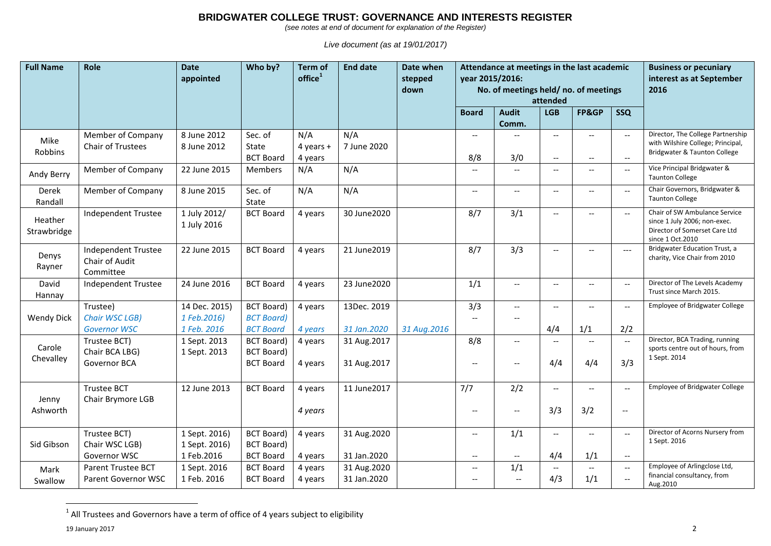*(see notes at end of document for explanation of the Register)*

*Live document (as at 19/01/2017)*

| <b>Full Name</b>       | Role                                                      | <b>Date</b><br>appointed                     | Who by?                                                     | <b>Term of</b><br>$of$ fice $1$ | <b>End date</b>            | Date when<br>stepped<br>down | year 2015/2016:                                      | Attendance at meetings in the last academic<br>No. of meetings held/no. of meetings<br>attended | <b>Business or pecuniary</b><br>interest as at September<br>2016 |                                                      |                                                                                 |                                                                                                                    |
|------------------------|-----------------------------------------------------------|----------------------------------------------|-------------------------------------------------------------|---------------------------------|----------------------------|------------------------------|------------------------------------------------------|-------------------------------------------------------------------------------------------------|------------------------------------------------------------------|------------------------------------------------------|---------------------------------------------------------------------------------|--------------------------------------------------------------------------------------------------------------------|
|                        |                                                           |                                              |                                                             |                                 |                            |                              | <b>Board</b>                                         | <b>Audit</b><br>Comm.                                                                           | <b>LGB</b>                                                       | FP&GP                                                | <b>SSQ</b>                                                                      |                                                                                                                    |
| Mike<br>Robbins        | Member of Company<br>Chair of Trustees                    | 8 June 2012<br>8 June 2012                   | Sec. of<br>State<br><b>BCT Board</b>                        | N/A<br>$4$ years +<br>4 years   | N/A<br>7 June 2020         |                              | $\hspace{0.05cm} \ldots$<br>8/8                      | 3/0                                                                                             | $\overline{\phantom{a}}$<br>$\overline{\phantom{m}}$             | $\overline{\phantom{a}}$<br>$\overline{\phantom{a}}$ | $\overline{\phantom{a}}$<br>$\hspace{0.05cm} \ldots$                            | Director, The College Partnership<br>with Wilshire College; Principal,<br>Bridgwater & Taunton College             |
| Andy Berry             | Member of Company                                         | 22 June 2015                                 | Members                                                     | N/A                             | N/A                        |                              | $\hspace{0.05cm} -\hspace{0.05cm} -\hspace{0.05cm}$  | $\overline{\phantom{a}}$                                                                        | $\hspace{0.05cm} -\hspace{0.05cm} -\hspace{0.05cm}$              | $\overline{\phantom{a}}$                             | $-$                                                                             | Vice Principal Bridgwater &<br><b>Taunton College</b>                                                              |
| Derek<br>Randall       | Member of Company                                         | 8 June 2015                                  | Sec. of<br>State                                            | N/A                             | N/A                        |                              | $\hspace{0.05cm} \ldots$                             | $\hspace{0.05cm} \ldots$                                                                        | $\hspace{0.05cm} -\hspace{0.05cm} -\hspace{0.05cm}$              | $\overline{\phantom{a}}$                             | $\overline{\phantom{a}}$                                                        | Chair Governors, Bridgwater &<br><b>Taunton College</b>                                                            |
| Heather<br>Strawbridge | Independent Trustee                                       | 1 July 2012/<br>1 July 2016                  | <b>BCT Board</b>                                            | 4 years                         | 30 June 2020               |                              | 8/7                                                  | 3/1                                                                                             | $\hspace{0.05cm} \ldots$                                         | $\overline{\phantom{a}}$                             | $\overline{\phantom{a}}$                                                        | Chair of SW Ambulance Service<br>since 1 July 2006; non-exec.<br>Director of Somerset Care Ltd<br>since 1 Oct.2010 |
| Denys<br>Rayner        | <b>Independent Trustee</b><br>Chair of Audit<br>Committee | 22 June 2015                                 | <b>BCT Board</b>                                            | 4 years                         | 21 June 2019               |                              | 8/7                                                  | 3/3                                                                                             | $\hspace{0.05cm} \ldots$                                         | $\overline{\phantom{a}}$                             | $---$                                                                           | Bridgwater Education Trust, a<br>charity, Vice Chair from 2010                                                     |
| David<br>Hannay        | <b>Independent Trustee</b>                                | 24 June 2016                                 | <b>BCT Board</b>                                            | 4 years                         | 23 June 2020               |                              | 1/1                                                  | $\hspace{0.05cm} \ldots$                                                                        | $\overline{\phantom{a}}$                                         | $\overline{\phantom{a}}$                             | $\overline{\phantom{a}}$                                                        | Director of The Levels Academy<br>Trust since March 2015.                                                          |
| <b>Wendy Dick</b>      | Trustee)<br>Chair WSC LGB)<br><b>Governor WSC</b>         | 14 Dec. 2015)<br>1 Feb.2016)<br>1 Feb. 2016  | <b>BCT Board)</b><br><b>BCT Board</b> )<br><b>BCT Board</b> | 4 years<br>4 years              | 13Dec. 2019<br>31 Jan.2020 | 31 Aug.2016                  | 3/3<br>$\hspace{0.05cm} \textbf{--}$                 | $\overline{\phantom{a}}$                                                                        | $\hspace{0.05cm} -\hspace{0.05cm} -\hspace{0.05cm}$<br>4/4       | $\overline{\phantom{a}}$<br>1/1                      | $-$<br>2/2                                                                      | <b>Employee of Bridgwater College</b>                                                                              |
| Carole<br>Chevalley    | Trustee BCT)<br>Chair BCA LBG)<br>Governor BCA            | 1 Sept. 2013<br>1 Sept. 2013                 | <b>BCT Board)</b><br><b>BCT Board)</b><br><b>BCT Board</b>  | 4 years<br>4 years              | 31 Aug.2017<br>31 Aug.2017 |                              | 8/8<br>$\overline{\phantom{a}}$                      | $\overline{\phantom{a}}$<br>$\overline{\phantom{a}}$                                            | $\overline{\phantom{a}}$<br>4/4                                  | $-$<br>4/4                                           | $\overline{\phantom{a}}$<br>3/3                                                 | Director, BCA Trading, running<br>sports centre out of hours, from<br>1 Sept. 2014                                 |
| Jenny<br>Ashworth      | <b>Trustee BCT</b><br>Chair Brymore LGB                   | 12 June 2013                                 | <b>BCT Board</b>                                            | 4 years<br>4 years              | 11 June 2017               |                              | 7/7<br>$\hspace{0.05cm} \textbf{--}$                 | 2/2<br>$\hspace{0.05cm} -\hspace{0.05cm} -\hspace{0.05cm}$                                      | $\hspace{0.05cm} -\hspace{0.05cm} -\hspace{0.05cm}$<br>3/3       | $\overline{\phantom{a}}$<br>3/2                      | $\overline{\phantom{a}}$<br>$\hspace{0.05cm} -\hspace{0.05cm} -\hspace{0.05cm}$ | <b>Employee of Bridgwater College</b>                                                                              |
| Sid Gibson             | Trustee BCT)<br>Chair WSC LGB)<br>Governor WSC            | 1 Sept. 2016)<br>1 Sept. 2016)<br>1 Feb.2016 | <b>BCT Board)</b><br><b>BCT Board)</b><br><b>BCT Board</b>  | 4 years<br>4 years              | 31 Aug.2020<br>31 Jan.2020 |                              | $\overline{\phantom{a}}$<br>$\overline{\phantom{a}}$ | 1/1<br>$\hspace{0.05cm} \ldots$                                                                 | $\hspace{0.05cm} -\hspace{0.05cm} -\hspace{0.05cm}$<br>4/4       | $\overline{\phantom{a}}$<br>1/1                      | $\overline{\phantom{a}}$<br>$ -$                                                | Director of Acorns Nursery from<br>1 Sept. 2016                                                                    |
| Mark<br>Swallow        | Parent Trustee BCT<br>Parent Governor WSC                 | 1 Sept. 2016<br>1 Feb. 2016                  | <b>BCT Board</b><br><b>BCT Board</b>                        | 4 years<br>4 years              | 31 Aug.2020<br>31 Jan.2020 |                              | $\hspace{0.05cm} \ldots$<br>$\overline{\phantom{a}}$ | 1/1<br>$\overline{\phantom{a}}$                                                                 | $\hspace{0.05cm} -\hspace{0.05cm} -\hspace{0.05cm}$<br>4/3       | $--$<br>1/1                                          | $\overline{\phantom{a}}$<br>$\overline{\phantom{a}}$                            | Employee of Arlingclose Ltd,<br>financial consultancy, from<br>Aug.2010                                            |

 1 All Trustees and Governors have a term of office of 4 years subject to eligibility

19 January 2017 2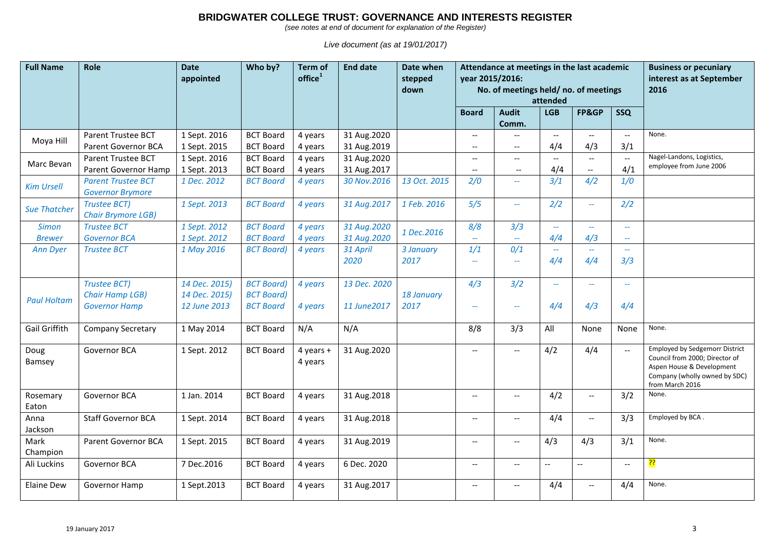*(see notes at end of document for explanation of the Register)*

| <b>Full Name</b>              | Role                                                                  | <b>Date</b><br>appointed                       | Who by?                                                    | Term of<br>office <sup>1</sup> | <b>End date</b>              | Date when<br>stepped<br>down |                                                      | Attendance at meetings in the last academic<br>year 2015/2016:<br>No. of meetings held/no. of meetings<br>attended | <b>Business or pecuniary</b><br>interest as at September<br>2016 |                                                      |                                                      |                                                                                                                                                          |
|-------------------------------|-----------------------------------------------------------------------|------------------------------------------------|------------------------------------------------------------|--------------------------------|------------------------------|------------------------------|------------------------------------------------------|--------------------------------------------------------------------------------------------------------------------|------------------------------------------------------------------|------------------------------------------------------|------------------------------------------------------|----------------------------------------------------------------------------------------------------------------------------------------------------------|
|                               |                                                                       |                                                |                                                            |                                |                              |                              | <b>Board</b>                                         | <b>Audit</b>                                                                                                       | <b>LGB</b>                                                       | FP&GP                                                | <b>SSQ</b>                                           |                                                                                                                                                          |
|                               |                                                                       |                                                |                                                            |                                |                              |                              |                                                      | Comm.                                                                                                              |                                                                  |                                                      |                                                      |                                                                                                                                                          |
| Moya Hill                     | Parent Trustee BCT<br>Parent Governor BCA                             | 1 Sept. 2016<br>1 Sept. 2015                   | <b>BCT Board</b><br><b>BCT Board</b>                       | 4 years<br>4 years             | 31 Aug.2020<br>31 Aug.2019   |                              | $\overline{\phantom{a}}$<br>$\overline{\phantom{a}}$ | $\overline{\phantom{a}}$                                                                                           | $\overline{\phantom{a}}$<br>4/4                                  | $\overline{\phantom{a}}$<br>4/3                      | $\overline{\phantom{a}}$<br>3/1                      | None.                                                                                                                                                    |
| Marc Bevan                    | Parent Trustee BCT<br>Parent Governor Hamp                            | 1 Sept. 2016<br>1 Sept. 2013                   | <b>BCT Board</b><br><b>BCT Board</b>                       | 4 years<br>4 years             | 31 Aug.2020<br>31 Aug.2017   |                              | $\hspace{0.05cm} \ldots$<br>$\overline{\phantom{a}}$ | $-$<br>$--$                                                                                                        | $\overline{\phantom{a}}$<br>4/4                                  | $\overline{\phantom{a}}$<br>$\overline{\phantom{a}}$ | $\overline{\phantom{a}}$<br>4/1                      | Nagel-Landons, Logistics,<br>employee from June 2006                                                                                                     |
| <b>Kim Ursell</b>             | <b>Parent Trustee BCT</b><br><b>Governor Brymore</b>                  | 1 Dec. 2012                                    | <b>BCT Board</b>                                           | 4 years                        | 30 Nov.2016                  | 13 Oct. 2015                 | 2/0                                                  | $\overline{\phantom{m}}$                                                                                           | 3/1                                                              | 4/2                                                  | 1/0                                                  |                                                                                                                                                          |
| <b>Sue Thatcher</b>           | <b>Trustee BCT)</b><br><b>Chair Brymore LGB)</b>                      | 1 Sept. 2013                                   | <b>BCT Board</b>                                           | 4 years                        | 31 Aug. 2017                 | 1 Feb. 2016                  | 5/5                                                  | $\mathcal{L}_{\mathcal{A}}$                                                                                        | 2/2                                                              | $\mathbb{L}^{\mathbb{L}}$                            | 2/2                                                  |                                                                                                                                                          |
| <b>Simon</b><br><b>Brewer</b> | <b>Trustee BCT</b><br><b>Governor BCA</b>                             | 1 Sept. 2012<br>1 Sept. 2012                   | <b>BCT Board</b><br><b>BCT Board</b>                       | 4 years<br>4 years             | 31 Aug.2020<br>31 Aug. 2020  | 1 Dec.2016                   | 8/8<br>$\overline{\phantom{m}}$                      | 3/3<br>$\overline{\phantom{m}}$                                                                                    | $\sim$<br>4/4                                                    | $\overline{\phantom{a}}$<br>4/3                      | $\overline{\phantom{a}}$<br>$\overline{\phantom{a}}$ |                                                                                                                                                          |
| <b>Ann Dyer</b>               | <b>Trustee BCT</b>                                                    | 1 May 2016                                     | <b>BCT Board</b> )                                         | 4 years                        | 31 April<br>2020             | 3 January<br>2017            | 1/1<br>$\overline{\phantom{m}}$                      | 0/1<br>$\sim$ $\sim$                                                                                               | $\sim$ $\sim$<br>4/4                                             | $\overline{\phantom{m}}$<br>4/4                      | $\overline{\phantom{a}}$<br>3/3                      |                                                                                                                                                          |
| <b>Paul Holtam</b>            | <b>Trustee BCT)</b><br><b>Chair Hamp LGB)</b><br><b>Governor Hamp</b> | 14 Dec. 2015)<br>14 Dec. 2015)<br>12 June 2013 | <b>BCT Board)</b><br><b>BCT Board)</b><br><b>BCT Board</b> | 4 years<br>4 years             | 13 Dec. 2020<br>11 June 2017 | 18 January<br>2017           | 4/3<br>$\overline{\phantom{m}}$                      | 3/2<br>$\overline{\phantom{a}}$                                                                                    | $\sim$ $\sim$<br>4/4                                             | $\overline{\phantom{m}}$<br>4/3                      | $\overline{\phantom{a}}$<br>4/4                      |                                                                                                                                                          |
| <b>Gail Griffith</b>          | <b>Company Secretary</b>                                              | 1 May 2014                                     | <b>BCT Board</b>                                           | N/A                            | N/A                          |                              | 8/8                                                  | 3/3                                                                                                                | All                                                              | None                                                 | None                                                 | None.                                                                                                                                                    |
| Doug<br>Bamsey                | Governor BCA                                                          | 1 Sept. 2012                                   | <b>BCT Board</b>                                           | 4 years $+$<br>4 years         | 31 Aug.2020                  |                              | $\overline{\phantom{a}}$                             | $\overline{\phantom{a}}$                                                                                           | 4/2                                                              | 4/4                                                  | $\overline{\phantom{a}}$                             | <b>Employed by Sedgemorr District</b><br>Council from 2000; Director of<br>Aspen House & Development<br>Company (wholly owned by SDC)<br>from March 2016 |
| Rosemary<br>Eaton             | Governor BCA                                                          | 1 Jan. 2014                                    | <b>BCT Board</b>                                           | 4 years                        | 31 Aug.2018                  |                              | $\overline{\phantom{a}}$                             | $\hspace{0.05cm} -\hspace{0.05cm} -\hspace{0.05cm}$                                                                | 4/2                                                              | $\overline{\phantom{a}}$                             | 3/2                                                  | None.                                                                                                                                                    |
| Anna<br>Jackson               | <b>Staff Governor BCA</b>                                             | 1 Sept. 2014                                   | <b>BCT Board</b>                                           | 4 years                        | 31 Aug.2018                  |                              | $\hspace{0.05cm} -\hspace{0.05cm} -\hspace{0.05cm}$  | $\hspace{0.05cm} \ldots$                                                                                           | 4/4                                                              | $\overline{\phantom{a}}$                             | 3/3                                                  | Employed by BCA.                                                                                                                                         |
| Mark<br>Champion              | Parent Governor BCA                                                   | 1 Sept. 2015                                   | <b>BCT Board</b>                                           | 4 years                        | 31 Aug.2019                  |                              | $\overline{\phantom{a}}$                             | $\overline{a}$                                                                                                     | 4/3                                                              | 4/3                                                  | 3/1                                                  | None.                                                                                                                                                    |
| Ali Luckins                   | Governor BCA                                                          | 7 Dec.2016                                     | <b>BCT Board</b>                                           | 4 years                        | 6 Dec. 2020                  |                              | $\overline{\phantom{a}}$                             | $\hspace{0.05cm} -\hspace{0.05cm} -\hspace{0.05cm}$                                                                | $\overline{\phantom{a}}$                                         | $\overline{\phantom{a}}$                             | $\overline{\phantom{a}}$                             | <mark>ינ</mark>                                                                                                                                          |
| <b>Elaine Dew</b>             | Governor Hamp                                                         | 1 Sept.2013                                    | <b>BCT Board</b>                                           | 4 years                        | 31 Aug.2017                  |                              | $\hspace{0.05cm} \ldots$                             | $\hspace{0.05cm} -\hspace{0.05cm} -\hspace{0.05cm}$                                                                | 4/4                                                              | $\overline{\phantom{a}}$                             | 4/4                                                  | None.                                                                                                                                                    |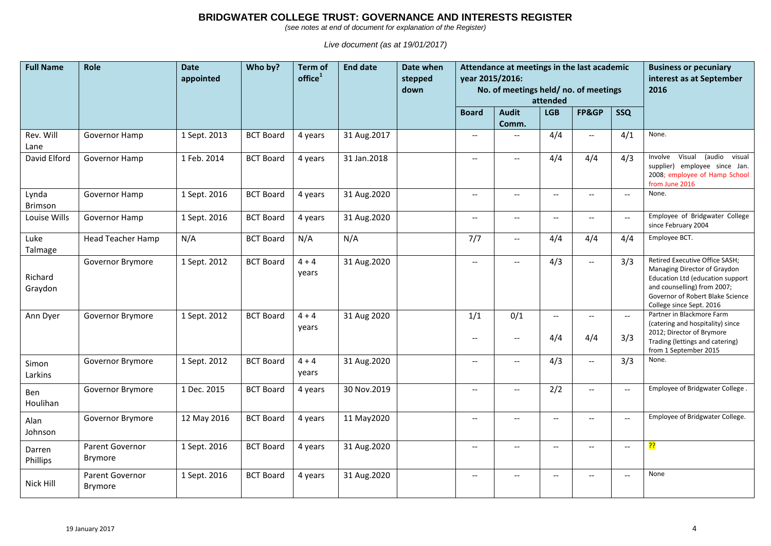*(see notes at end of document for explanation of the Register)*

| <b>Full Name</b>   | Role                                     | <b>Date</b><br>appointed | Who by?          | <b>Term of</b><br>$of$ fice $1$ | <b>End date</b> | Date when<br>stepped<br>down | Attendance at meetings in the last academic<br>year 2015/2016:<br>No. of meetings held/no. of meetings<br>attended |                                                            |                                                     |                                 |                                 | <b>Business or pecuniary</b><br>interest as at September<br>2016                                                                                                                                  |
|--------------------|------------------------------------------|--------------------------|------------------|---------------------------------|-----------------|------------------------------|--------------------------------------------------------------------------------------------------------------------|------------------------------------------------------------|-----------------------------------------------------|---------------------------------|---------------------------------|---------------------------------------------------------------------------------------------------------------------------------------------------------------------------------------------------|
|                    |                                          |                          |                  |                                 |                 |                              | <b>Board</b>                                                                                                       | <b>Audit</b>                                               | <b>LGB</b>                                          | FP&GP                           | <b>SSQ</b>                      |                                                                                                                                                                                                   |
| Rev. Will          | Governor Hamp                            | 1 Sept. 2013             | <b>BCT Board</b> |                                 | 31 Aug. 2017    |                              | $\overline{\phantom{a}}$                                                                                           | Comm.                                                      | 4/4                                                 | $\overline{\phantom{a}}$        | 4/1                             | None.                                                                                                                                                                                             |
| Lane               |                                          |                          |                  | 4 years                         |                 |                              |                                                                                                                    |                                                            |                                                     |                                 |                                 |                                                                                                                                                                                                   |
| David Elford       | Governor Hamp                            | 1 Feb. 2014              | <b>BCT Board</b> | 4 years                         | 31 Jan.2018     |                              | $\hspace{0.05cm} -\hspace{0.05cm} -\hspace{0.05cm}$                                                                | $\hspace{0.05cm} \ldots$                                   | 4/4                                                 | 4/4                             | 4/3                             | Involve<br>Visual<br>(audio visual<br>supplier) employee since Jan.<br>2008; employee of Hamp School<br>from June 2016                                                                            |
| Lynda<br>Brimson   | Governor Hamp                            | 1 Sept. 2016             | <b>BCT Board</b> | 4 years                         | 31 Aug.2020     |                              | $\overline{\phantom{a}}$                                                                                           | $\overline{\phantom{a}}$                                   | $-$                                                 | $\overline{\phantom{a}}$        | $\overline{\phantom{a}}$        | None.                                                                                                                                                                                             |
| Louise Wills       | Governor Hamp                            | 1 Sept. 2016             | <b>BCT Board</b> | 4 years                         | 31 Aug.2020     |                              | $\overline{\phantom{a}}$                                                                                           | $\hspace{0.05cm} \ldots$                                   | $\overline{\phantom{a}}$                            | $\overline{\phantom{a}}$        | $\overline{\phantom{a}}$        | Employee of Bridgwater College<br>since February 2004                                                                                                                                             |
| Luke<br>Talmage    | <b>Head Teacher Hamp</b>                 | N/A                      | <b>BCT Board</b> | N/A                             | N/A             |                              | 7/7                                                                                                                | $\hspace{0.05cm} -\hspace{0.05cm} -\hspace{0.05cm}$        | 4/4                                                 | 4/4                             | 4/4                             | Employee BCT.                                                                                                                                                                                     |
| Richard<br>Graydon | Governor Brymore                         | 1 Sept. 2012             | <b>BCT Board</b> | $4 + 4$<br>years                | 31 Aug.2020     |                              | $\hspace{0.05cm} -\hspace{0.05cm} -\hspace{0.05cm}$                                                                | $\hspace{0.05cm} -\hspace{0.05cm} -\hspace{0.05cm}$        | 4/3                                                 | $\overline{\phantom{a}}$        | 3/3                             | Retired Executive Office SASH;<br>Managing Director of Graydon<br>Education Ltd (education support<br>and counselling) from 2007;<br>Governor of Robert Blake Science<br>College since Sept. 2016 |
| Ann Dyer           | Governor Brymore                         | 1 Sept. 2012             | <b>BCT Board</b> | $4 + 4$<br>years                | 31 Aug 2020     |                              | 1/1<br>$\hspace{0.05cm} -\hspace{0.05cm} -\hspace{0.05cm}$                                                         | 0/1<br>$\hspace{0.05cm} -\hspace{0.05cm} -\hspace{0.05cm}$ | $\overline{\phantom{a}}$<br>4/4                     | $\overline{\phantom{a}}$<br>4/4 | $\overline{\phantom{a}}$<br>3/3 | Partner in Blackmore Farm<br>(catering and hospitality) since<br>2012; Director of Brymore<br>Trading (lettings and catering)<br>from 1 September 2015                                            |
| Simon<br>Larkins   | Governor Brymore                         | 1 Sept. 2012             | <b>BCT Board</b> | $4 + 4$<br>years                | 31 Aug.2020     |                              | $\overline{\phantom{m}}$                                                                                           | $\overline{\phantom{a}}$                                   | 4/3                                                 | $\overline{\phantom{a}}$        | 3/3                             | None.                                                                                                                                                                                             |
| Ben<br>Houlihan    | Governor Brymore                         | 1 Dec. 2015              | <b>BCT Board</b> | 4 years                         | 30 Nov.2019     |                              | $\hspace{0.05cm} \ldots$                                                                                           | $\hspace{0.05cm} -\hspace{0.05cm} -\hspace{0.05cm}$        | 2/2                                                 | $\overline{\phantom{a}}$        | $\overline{\phantom{a}}$        | Employee of Bridgwater College.                                                                                                                                                                   |
| Alan<br>Johnson    | Governor Brymore                         | 12 May 2016              | <b>BCT Board</b> | 4 years                         | 11 May 2020     |                              | $\overline{\phantom{a}}$                                                                                           | $\hspace{0.05cm} -\hspace{0.05cm} -\hspace{0.05cm}$        | $\hspace{0.05cm} -\hspace{0.05cm} -\hspace{0.05cm}$ | $\overline{\phantom{a}}$        | $\overline{\phantom{a}}$        | Employee of Bridgwater College.                                                                                                                                                                   |
| Darren<br>Phillips | Parent Governor<br>Brymore               | 1 Sept. 2016             | <b>BCT Board</b> | 4 years                         | 31 Aug.2020     |                              | $\overline{\phantom{a}}$                                                                                           | $\overline{\phantom{a}}$                                   | $-$                                                 | $- -$                           | $\overline{\phantom{0}}$        | <mark>??</mark>                                                                                                                                                                                   |
| Nick Hill          | <b>Parent Governor</b><br><b>Brymore</b> | 1 Sept. 2016             | <b>BCT Board</b> | 4 years                         | 31 Aug.2020     |                              | $\overline{\phantom{a}}$                                                                                           |                                                            | $\overline{\phantom{a}}$                            | $\overline{\phantom{a}}$        | $\overline{\phantom{a}}$        | None                                                                                                                                                                                              |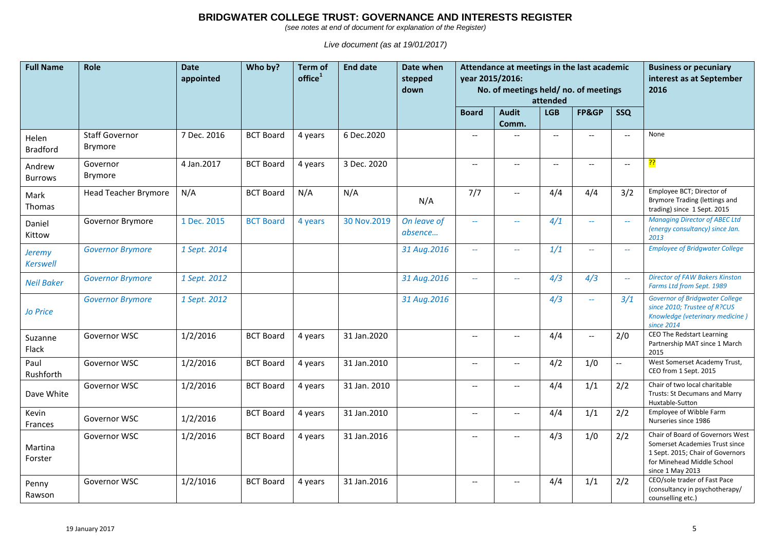*(see notes at end of document for explanation of the Register)*

| <b>Full Name</b>          | Role                                    | <b>Date</b><br>appointed | Who by?          | <b>Term of</b><br>office <sup>1</sup> | <b>End date</b> | Date when<br>stepped<br>down | Attendance at meetings in the last academic<br>year 2015/2016:<br>No. of meetings held/no. of meetings<br>attended |                                                     |                                                     |                           |                          | <b>Business or pecuniary</b><br>interest as at September<br>2016                                                                                         |
|---------------------------|-----------------------------------------|--------------------------|------------------|---------------------------------------|-----------------|------------------------------|--------------------------------------------------------------------------------------------------------------------|-----------------------------------------------------|-----------------------------------------------------|---------------------------|--------------------------|----------------------------------------------------------------------------------------------------------------------------------------------------------|
|                           |                                         |                          |                  |                                       |                 |                              | <b>Board</b>                                                                                                       | <b>Audit</b><br>Comm.                               | <b>LGB</b>                                          | FP&GP                     | <b>SSQ</b>               |                                                                                                                                                          |
| Helen<br><b>Bradford</b>  | <b>Staff Governor</b><br><b>Brymore</b> | 7 Dec. 2016              | <b>BCT Board</b> | 4 years                               | 6 Dec.2020      |                              | $\overline{\phantom{a}}$                                                                                           |                                                     | $\overline{\phantom{a}}$                            | $\overline{a}$            | $-$                      | None                                                                                                                                                     |
| Andrew<br><b>Burrows</b>  | Governor<br>Brymore                     | 4 Jan.2017               | <b>BCT Board</b> | 4 years                               | 3 Dec. 2020     |                              | $\overline{\phantom{a}}$                                                                                           | $\overline{\phantom{a}}$                            | $\hspace{0.05cm} -\hspace{0.05cm} -\hspace{0.05cm}$ | $\overline{\phantom{a}}$  | $\overline{\phantom{a}}$ | <mark>??</mark>                                                                                                                                          |
| Mark<br><b>Thomas</b>     | <b>Head Teacher Brymore</b>             | N/A                      | <b>BCT Board</b> | N/A                                   | N/A             | N/A                          | 7/7                                                                                                                | $\overline{\phantom{a}}$                            | 4/4                                                 | 4/4                       | 3/2                      | Employee BCT; Director of<br>Brymore Trading (lettings and<br>trading) since 1 Sept. 2015                                                                |
| Daniel<br>Kittow          | Governor Brymore                        | 1 Dec. 2015              | <b>BCT Board</b> | 4 years                               | 30 Nov.2019     | On leave of<br>absence       | $\rightarrow$                                                                                                      | $\mathcal{L}_{\text{max}}$                          | 4/1                                                 | $\mathbb{Z}^{\mathbb{Z}}$ | $\mathbb{L} \mathbb{L}$  | <b>Managing Director of ABEC Ltd</b><br>(energy consultancy) since Jan.<br>2013                                                                          |
| <b>Jeremy</b><br>Kerswell | <b>Governor Brymore</b>                 | 1 Sept. 2014             |                  |                                       |                 | 31 Aug.2016                  | $\overline{\phantom{m}}$                                                                                           | $\overline{\phantom{m}}$                            | 1/1                                                 | $\overline{\phantom{a}}$  | $\overline{\phantom{a}}$ | <b>Employee of Bridgwater College</b>                                                                                                                    |
| <b>Neil Baker</b>         | <b>Governor Brymore</b>                 | 1 Sept. 2012             |                  |                                       |                 | 31 Aug.2016                  | $\mathcal{L}_{\mathcal{F}}$                                                                                        | $\sim$                                              | 4/3                                                 | 4/3                       | $\overline{a}$           | <b>Director of FAW Bakers Kinston</b><br>Farms Ltd from Sept. 1989                                                                                       |
| <b>Jo Price</b>           | <b>Governor Brymore</b>                 | 1 Sept. 2012             |                  |                                       |                 | 31 Aug.2016                  |                                                                                                                    |                                                     | 4/3                                                 | $\overline{\phantom{a}}$  | 3/1                      | <b>Governor of Bridgwater College</b><br>since 2010; Trustee of R?CUS<br>Knowledge (veterinary medicine)<br>since 2014                                   |
| Suzanne<br>Flack          | Governor WSC                            | 1/2/2016                 | <b>BCT Board</b> | 4 years                               | 31 Jan.2020     |                              | $\hspace{0.05cm} \ldots$                                                                                           | $\hspace{0.05cm} -\hspace{0.05cm} -\hspace{0.05cm}$ | 4/4                                                 | $\overline{\phantom{a}}$  | 2/0                      | <b>CEO The Redstart Learning</b><br>Partnership MAT since 1 March<br>2015                                                                                |
| Paul<br>Rushforth         | Governor WSC                            | 1/2/2016                 | <b>BCT Board</b> | 4 years                               | 31 Jan.2010     |                              | $\hspace{0.05cm} -\hspace{0.05cm} -\hspace{0.05cm}$                                                                | $\hspace{0.05cm} \ldots$                            | 4/2                                                 | 1/0                       | $\overline{\phantom{a}}$ | West Somerset Academy Trust,<br>CEO from 1 Sept. 2015                                                                                                    |
| Dave White                | Governor WSC                            | 1/2/2016                 | <b>BCT Board</b> | 4 years                               | 31 Jan. 2010    |                              | $\overline{\phantom{a}}$                                                                                           | $\overline{\phantom{a}}$                            | 4/4                                                 | 1/1                       | 2/2                      | Chair of two local charitable<br>Trusts: St Decumans and Marry<br>Huxtable-Sutton                                                                        |
| Kevin<br>Frances          | Governor WSC                            | 1/2/2016                 | <b>BCT Board</b> | 4 years                               | 31 Jan.2010     |                              | $\hspace{0.05cm} -\hspace{0.05cm} -\hspace{0.05cm}$                                                                | $\hspace{0.05cm} \ldots$                            | 4/4                                                 | 1/1                       | 2/2                      | Employee of Wibble Farm<br>Nurseries since 1986                                                                                                          |
| Martina<br>Forster        | Governor WSC                            | 1/2/2016                 | <b>BCT Board</b> | 4 years                               | 31 Jan.2016     |                              | $\overline{\phantom{a}}$                                                                                           | $\hspace{0.05cm} -\hspace{0.05cm} -\hspace{0.05cm}$ | 4/3                                                 | 1/0                       | 2/2                      | Chair of Board of Governors West<br>Somerset Academies Trust since<br>1 Sept. 2015; Chair of Governors<br>for Minehead Middle School<br>since 1 May 2013 |
| Penny<br>Rawson           | Governor WSC                            | 1/2/1016                 | <b>BCT Board</b> | 4 years                               | 31 Jan.2016     |                              | $\hspace{0.05cm} -\hspace{0.05cm} -\hspace{0.05cm}$                                                                | $\overline{\phantom{a}}$                            | 4/4                                                 | 1/1                       | 2/2                      | CEO/sole trader of Fast Pace<br>(consultancy in psychotherapy/<br>counselling etc.)                                                                      |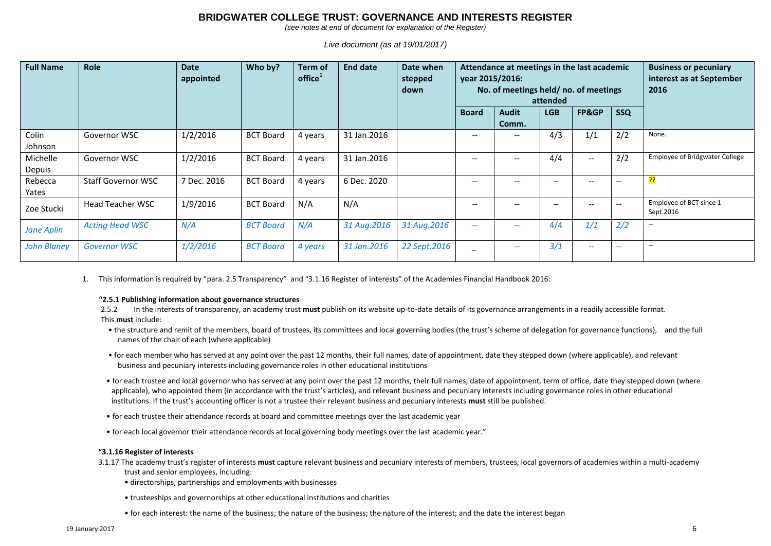*(see notes at end of document for explanation of the Register)*

*Live document (as at 19/01/2017)*

| <b>Full Name</b>   | <b>Role</b>               | Date<br>appointed | Who by?          | Term of<br>$of$ fice $1$ | <b>End date</b> | Date when<br>stepped<br>down | Attendance at meetings in the last academic<br>year 2015/2016:<br>No. of meetings held/no. of meetings<br>attended |                                       |            |                          |                          | <b>Business or pecuniary</b><br>interest as at September<br>2016 |
|--------------------|---------------------------|-------------------|------------------|--------------------------|-----------------|------------------------------|--------------------------------------------------------------------------------------------------------------------|---------------------------------------|------------|--------------------------|--------------------------|------------------------------------------------------------------|
|                    |                           |                   |                  |                          |                 |                              | <b>Board</b>                                                                                                       | <b>Audit</b>                          | <b>LGB</b> | FP&GP                    | <b>SSQ</b>               |                                                                  |
| Colin<br>Johnson   | Governor WSC              | 1/2/2016          | <b>BCT Board</b> | 4 years                  | 31 Jan.2016     |                              | $\overline{\phantom{a}}$                                                                                           | Comm.<br>$- -$                        | 4/3        | 1/1                      | 2/2                      | None.                                                            |
| Michelle<br>Depuis | Governor WSC              | 1/2/2016          | <b>BCT Board</b> | 4 years                  | 31 Jan.2016     |                              | $\overline{\phantom{a}}$                                                                                           | $\hspace{0.05cm}$ – $\hspace{0.05cm}$ | 4/4        | $\hspace{0.05cm} \ldots$ | 2/2                      | <b>Employee of Bridgwater College</b>                            |
| Rebecca<br>Yates   | <b>Staff Governor WSC</b> | 7 Dec. 2016       | <b>BCT Board</b> | 4 years                  | 6 Dec. 2020     |                              | $\overline{\phantom{m}}$                                                                                           | --                                    | $- -$      | $- -$                    | --                       | <u>יל</u>                                                        |
| Zoe Stucki         | <b>Head Teacher WSC</b>   | 1/9/2016          | <b>BCT Board</b> | N/A                      | N/A             |                              | $\hspace{0.05cm} \textbf{--}$                                                                                      |                                       | --         | $- -$                    | $\hspace{0.05cm} \ldots$ | Employee of BCT since 1<br>Sept.2016                             |
| <b>Jane Aplin</b>  | <b>Acting Head WSC</b>    | N/A               | <b>BCT Board</b> | N/A                      | 31 Aug. 2016    | 31 Aug.2016                  | $\overline{\phantom{a}}$                                                                                           | $\overline{\phantom{m}}$              | 4/4        | 1/1                      | 2/2                      | $\overline{\phantom{m}}$                                         |
| <b>John Blaney</b> | <b>Governor WSC</b>       | 1/2/2016          | <b>BCT Board</b> | 4 years                  | 31 Jan.2016     | 22 Sept.2016                 | $\overline{\phantom{0}}$                                                                                           | $\overline{\phantom{a}}$              | 3/1        | $\overline{\phantom{m}}$ | $\sim$ $\sim$            | $\overline{\phantom{a}}$                                         |

1. This information is required by "para. 2.5 Transparency" and "3.1.16 Register of interests" of the Academies Financial Handbook 2016:

#### **"2.5.1 Publishing information about governance structures**

2.5.2 In the interests of transparency, an academy trust **must** publish on its website up-to-date details of its governance arrangements in a readily accessible format. This **must** include:

- the structure and remit of the members, board of trustees, its committees and local governing bodies (the trust's scheme of delegation for governance functions), and the full names of the chair of each (where applicable)
- for each member who has served at any point over the past 12 months, their full names, date of appointment, date they stepped down (where applicable), and relevant business and pecuniary interests including governance roles in other educational institutions
- for each trustee and local governor who has served at any point over the past 12 months, their full names, date of appointment, term of office, date they stepped down (where applicable), who appointed them (in accordance with the trust's articles), and relevant business and pecuniary interests including governance roles in other educational institutions. If the trust's accounting officer is not a trustee their relevant business and pecuniary interests **must** still be published.
- for each trustee their attendance records at board and committee meetings over the last academic year
- for each local governor their attendance records at local governing body meetings over the last academic year."

#### **"3.1.16 Register of interests**

3.1.17 The academy trust's register of interests **must** capture relevant business and pecuniary interests of members, trustees, local governors of academies within a multi-academy trust and senior employees, including:

- directorships, partnerships and employments with businesses
- trusteeships and governorships at other educational institutions and charities
- for each interest: the name of the business; the nature of the business; the nature of the interest; and the date the interest began